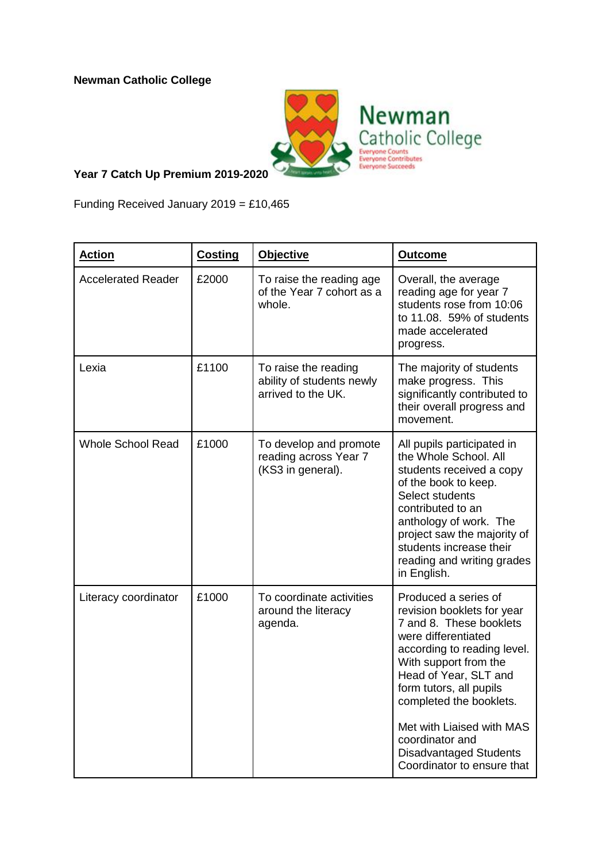**Newman Catholic College**



## **Year 7 Catch Up Premium 2019-2020**

Funding Received January  $2019 = £10,465$ 

| <b>Action</b>             | <b>Costing</b> | <b>Objective</b>                                                        | <b>Outcome</b>                                                                                                                                                                                                                                                                                                                                             |
|---------------------------|----------------|-------------------------------------------------------------------------|------------------------------------------------------------------------------------------------------------------------------------------------------------------------------------------------------------------------------------------------------------------------------------------------------------------------------------------------------------|
| <b>Accelerated Reader</b> | £2000          | To raise the reading age<br>of the Year 7 cohort as a<br>whole.         | Overall, the average<br>reading age for year 7<br>students rose from 10:06<br>to 11.08. 59% of students<br>made accelerated<br>progress.                                                                                                                                                                                                                   |
| Lexia                     | £1100          | To raise the reading<br>ability of students newly<br>arrived to the UK. | The majority of students<br>make progress. This<br>significantly contributed to<br>their overall progress and<br>movement.                                                                                                                                                                                                                                 |
| <b>Whole School Read</b>  | £1000          | To develop and promote<br>reading across Year 7<br>(KS3 in general).    | All pupils participated in<br>the Whole School. All<br>students received a copy<br>of the book to keep.<br>Select students<br>contributed to an<br>anthology of work. The<br>project saw the majority of<br>students increase their<br>reading and writing grades<br>in English.                                                                           |
| Literacy coordinator      | £1000          | To coordinate activities<br>around the literacy<br>agenda.              | Produced a series of<br>revision booklets for year<br>7 and 8. These booklets<br>were differentiated<br>according to reading level.<br>With support from the<br>Head of Year, SLT and<br>form tutors, all pupils<br>completed the booklets.<br>Met with Liaised with MAS<br>coordinator and<br><b>Disadvantaged Students</b><br>Coordinator to ensure that |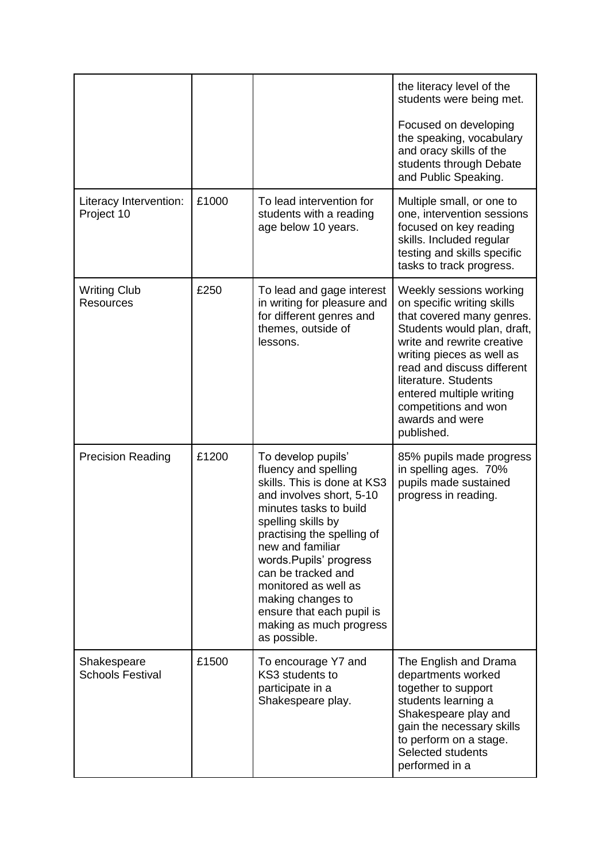|                                         |       |                                                                                                                                                                                                                                                                                                                                                                              | the literacy level of the<br>students were being met.<br>Focused on developing<br>the speaking, vocabulary<br>and oracy skills of the<br>students through Debate<br>and Public Speaking.                                                                                                                                |
|-----------------------------------------|-------|------------------------------------------------------------------------------------------------------------------------------------------------------------------------------------------------------------------------------------------------------------------------------------------------------------------------------------------------------------------------------|-------------------------------------------------------------------------------------------------------------------------------------------------------------------------------------------------------------------------------------------------------------------------------------------------------------------------|
| Literacy Intervention:<br>Project 10    | £1000 | To lead intervention for<br>students with a reading<br>age below 10 years.                                                                                                                                                                                                                                                                                                   | Multiple small, or one to<br>one, intervention sessions<br>focused on key reading<br>skills. Included regular<br>testing and skills specific<br>tasks to track progress.                                                                                                                                                |
| <b>Writing Club</b><br><b>Resources</b> | £250  | To lead and gage interest<br>in writing for pleasure and<br>for different genres and<br>themes, outside of<br>lessons.                                                                                                                                                                                                                                                       | Weekly sessions working<br>on specific writing skills<br>that covered many genres.<br>Students would plan, draft,<br>write and rewrite creative<br>writing pieces as well as<br>read and discuss different<br>literature. Students<br>entered multiple writing<br>competitions and won<br>awards and were<br>published. |
| <b>Precision Reading</b>                | £1200 | To develop pupils'<br>fluency and spelling<br>skills. This is done at KS3<br>and involves short, 5-10<br>minutes tasks to build<br>spelling skills by<br>practising the spelling of<br>new and familiar<br>words.Pupils' progress<br>can be tracked and<br>monitored as well as<br>making changes to<br>ensure that each pupil is<br>making as much progress<br>as possible. | 85% pupils made progress<br>in spelling ages. 70%<br>pupils made sustained<br>progress in reading.                                                                                                                                                                                                                      |
| Shakespeare<br><b>Schools Festival</b>  | £1500 | To encourage Y7 and<br>KS3 students to<br>participate in a<br>Shakespeare play.                                                                                                                                                                                                                                                                                              | The English and Drama<br>departments worked<br>together to support<br>students learning a<br>Shakespeare play and<br>gain the necessary skills<br>to perform on a stage.<br>Selected students<br>performed in a                                                                                                         |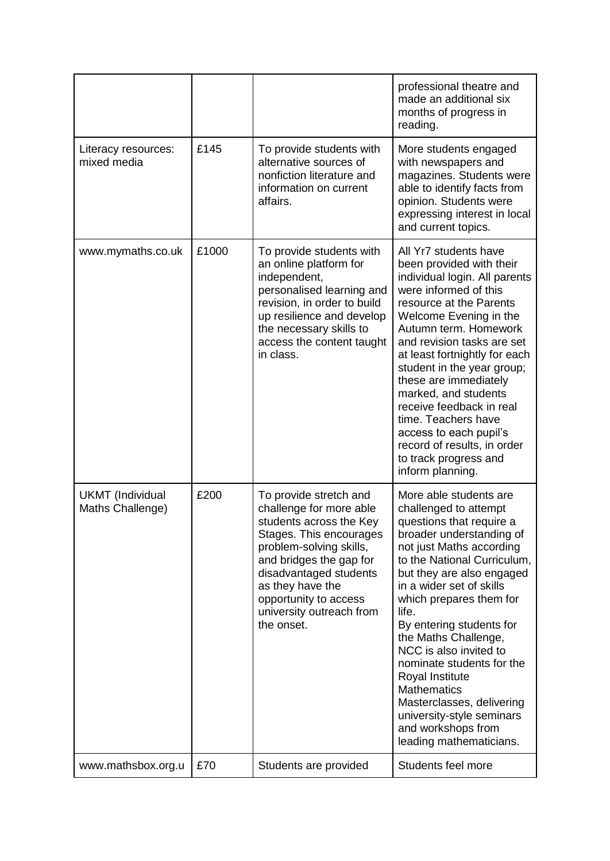|                                             |       |                                                                                                                                                                                                                                                                                | professional theatre and<br>made an additional six<br>months of progress in<br>reading.                                                                                                                                                                                                                                                                                                                                                                                                                                        |
|---------------------------------------------|-------|--------------------------------------------------------------------------------------------------------------------------------------------------------------------------------------------------------------------------------------------------------------------------------|--------------------------------------------------------------------------------------------------------------------------------------------------------------------------------------------------------------------------------------------------------------------------------------------------------------------------------------------------------------------------------------------------------------------------------------------------------------------------------------------------------------------------------|
| Literacy resources:<br>mixed media          | £145  | To provide students with<br>alternative sources of<br>nonfiction literature and<br>information on current<br>affairs.                                                                                                                                                          | More students engaged<br>with newspapers and<br>magazines. Students were<br>able to identify facts from<br>opinion. Students were<br>expressing interest in local<br>and current topics.                                                                                                                                                                                                                                                                                                                                       |
| www.mymaths.co.uk                           | £1000 | To provide students with<br>an online platform for<br>independent,<br>personalised learning and<br>revision, in order to build<br>up resilience and develop<br>the necessary skills to<br>access the content taught<br>in class.                                               | All Yr7 students have<br>been provided with their<br>individual login. All parents<br>were informed of this<br>resource at the Parents<br>Welcome Evening in the<br>Autumn term. Homework<br>and revision tasks are set<br>at least fortnightly for each<br>student in the year group;<br>these are immediately<br>marked, and students<br>receive feedback in real<br>time. Teachers have<br>access to each pupil's<br>record of results, in order<br>to track progress and<br>inform planning.                               |
| <b>UKMT</b> (Individual<br>Maths Challenge) | £200  | To provide stretch and<br>challenge for more able<br>students across the Key<br>Stages. This encourages<br>problem-solving skills,<br>and bridges the gap for<br>disadvantaged students<br>as they have the<br>opportunity to access<br>university outreach from<br>the onset. | More able students are<br>challenged to attempt<br>questions that require a<br>broader understanding of<br>not just Maths according<br>to the National Curriculum,<br>but they are also engaged<br>in a wider set of skills<br>which prepares them for<br>life.<br>By entering students for<br>the Maths Challenge,<br>NCC is also invited to<br>nominate students for the<br>Royal Institute<br><b>Mathematics</b><br>Masterclasses, delivering<br>university-style seminars<br>and workshops from<br>leading mathematicians. |
| www.mathsbox.org.u                          | £70   | Students are provided                                                                                                                                                                                                                                                          | Students feel more                                                                                                                                                                                                                                                                                                                                                                                                                                                                                                             |